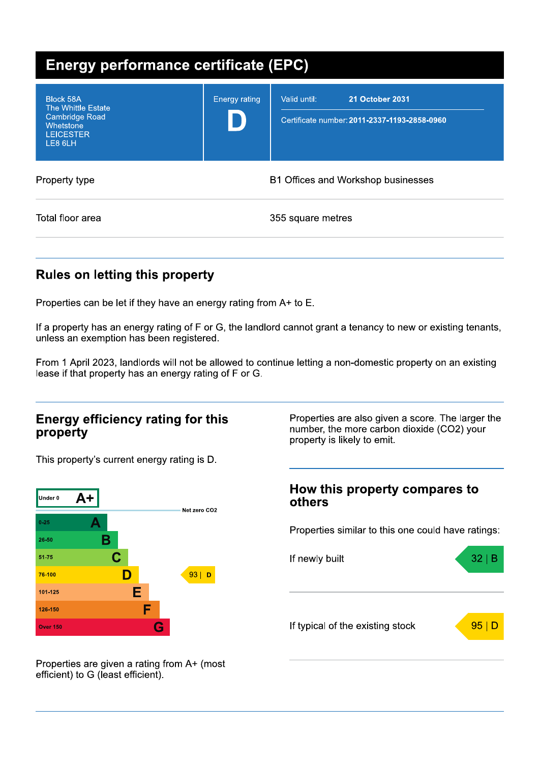| <b>Energy performance certificate (EPC)</b>                                                          |                      |                                                                                        |  |  |
|------------------------------------------------------------------------------------------------------|----------------------|----------------------------------------------------------------------------------------|--|--|
| <b>Block 58A</b><br>The Whittle Estate<br>Cambridge Road<br>Whetstone<br><b>LEICESTER</b><br>LE8 6LH | <b>Energy rating</b> | <b>21 October 2031</b><br>Valid until:<br>Certificate number: 2011-2337-1193-2858-0960 |  |  |
| Property type                                                                                        |                      | B1 Offices and Workshop businesses                                                     |  |  |
| Total floor area                                                                                     |                      | 355 square metres                                                                      |  |  |

## **Rules on letting this property**

Properties can be let if they have an energy rating from A+ to E.

If a property has an energy rating of F or G, the landlord cannot grant a tenancy to new or existing tenants, unless an exemption has been registered.

From 1 April 2023, landlords will not be allowed to continue letting a non-domestic property on an existing lease if that property has an energy rating of F or G.

#### **Energy efficiency rating for this** property

This property's current energy rating is D.



Properties are also given a score. The larger the number, the more carbon dioxide (CO2) your property is likely to emit.

#### How this property compares to others

Properties similar to this one could have ratings:



Properties are given a rating from A+ (most efficient) to G (least efficient).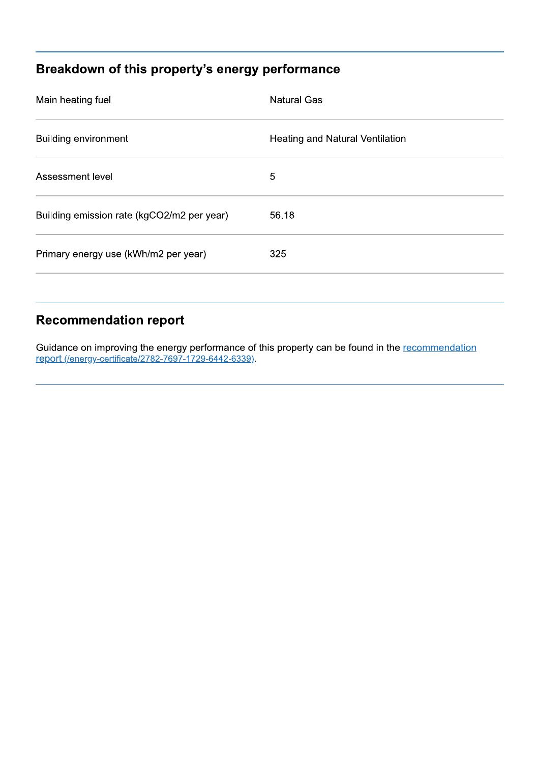# Breakdown of this property's energy performance

| Main heating fuel                          | <b>Natural Gas</b>              |
|--------------------------------------------|---------------------------------|
| <b>Building environment</b>                | Heating and Natural Ventilation |
| Assessment level                           | 5                               |
| Building emission rate (kgCO2/m2 per year) | 56.18                           |
| Primary energy use (kWh/m2 per year)       | 325                             |
|                                            |                                 |

### **Recommendation report**

Guidance on improving the energy performance of this property can be found in the recommendation report (/energy-certificate/2782-7697-1729-6442-6339).